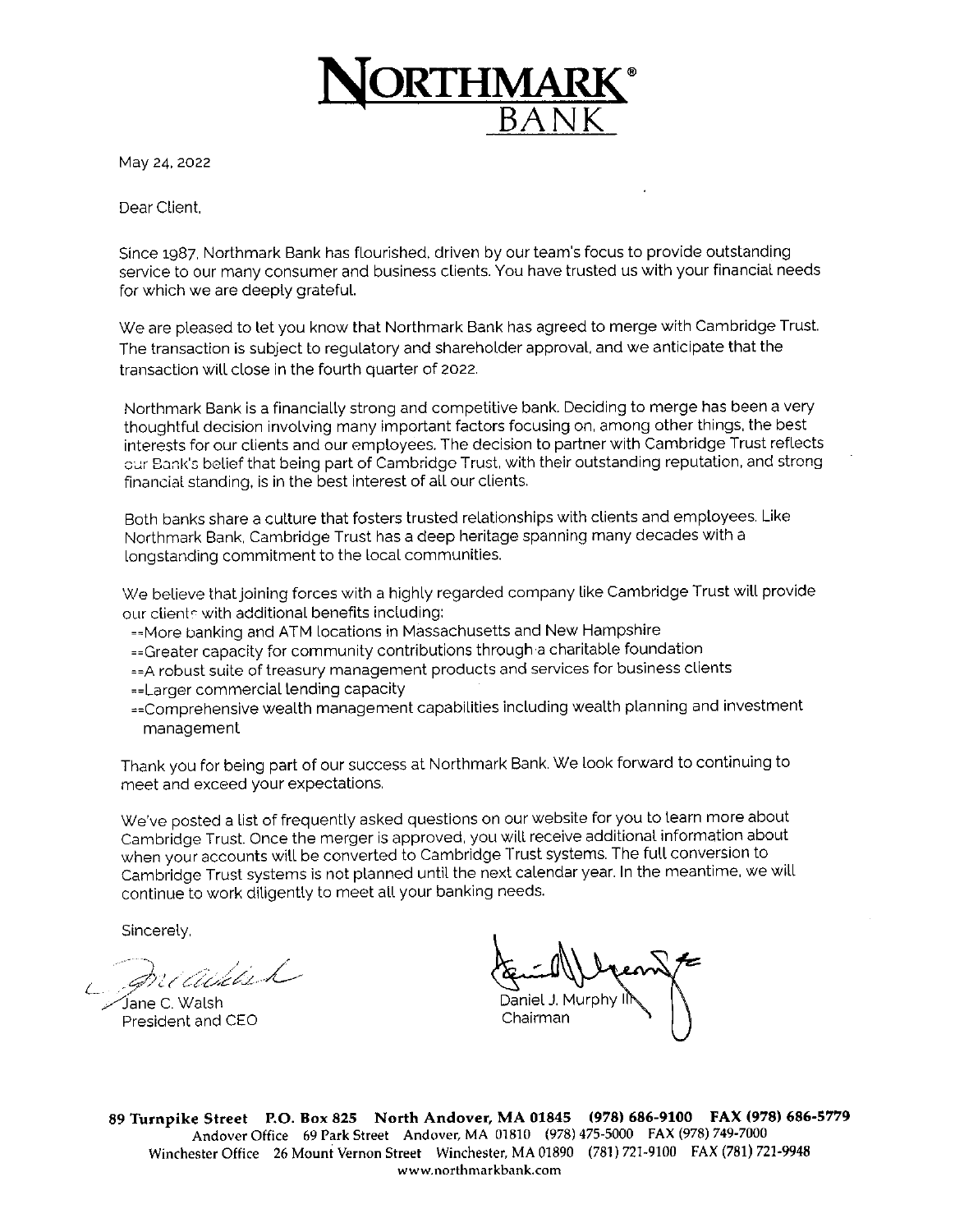

May 24, 2022

Dear Client

Since 1987, Northmark Bank has flourished, driven by our team's focus to provide outstanding service to our many consumer and business clients. You have trusted us with your financial needs for which we are deeply grateful.

We are pleased to let you know that Northmark Bank has agreed to merge with Cambridge Trust. The transaction is subject to regulatory and shareholder approval, and we anticipate that the transaction will close in the fourth quarter of 2022.

Northmark Bank is a financially strong and competitive bank. Deciding to merge has been a very thoughtful decision involving many important factors focusing on, among other things, the best interests for our clients and our employees. The decision to partner with Cambridge Trust reflects our Bank's belief that being part of Cambridge Trust, with their outstanding reputation, and strong financial standing, is in the best interest of all our clients.

Both banks share a culture that fosters trusted relationships with clients and employees. Like Northmark Bank, Cambridge Trust has a deep heritage spanning many decades with a longstanding commitment to the local communities.

We believe that joining forces with a highly regarded company like Cambridge Trust will provide our clients with additional benefits including:

==More banking and ATM locations in Massachusetts and New Hampshire

== Greater capacity for community contributions through a charitable foundation

== A robust suite of treasury management products and services for business clients == Larger commercial lending capacity

== Comprehensive wealth management capabilities including wealth planning and investment management

Thank you for being part of our success at Northmark Bank. We look forward to continuing to meet and exceed your expectations.

We've posted a list of frequently asked questions on our website for you to learn more about Cambridge Trust. Once the merger is approved, you will receive additional information about when your accounts will be converted to Cambridge Trust systems. The full conversion to Cambridge Trust systems is not planned until the next calendar year. In the meantime, we will continue to work diligently to meet all your banking needs.

Sincerely,

readaich

Jane C. Walsh . President and CEO

Chairman

89 Turnpike Street P.O. Box 825 North Andover, MA 01845 (978) 686-9100 FAX (978) 686-5779 Andover Office 69 Park Street Andover, MA 01810 (978) 475-5000 FAX (978) 749-7000 Winchester Office 26 Mount Vernon Street Winchester, MA 01890 (781) 721-9100 FAX (781) 721-9948 www.northmarkbank.com